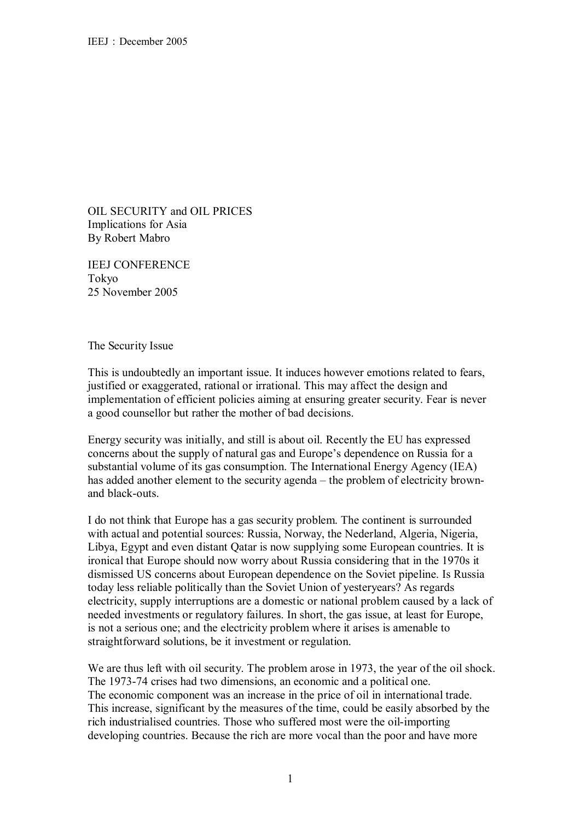OIL SECURITY and OIL PRICES Implications for Asia By Robert Mabro

IEEJ CONFERENCE Tokyo 25 November 2005

The Security Issue

This is undoubtedly an important issue. It induces however emotions related to fears, justified or exaggerated, rational or irrational. This may affect the design and implementation of efficient policies aiming at ensuring greater security. Fear is never a good counsellor but rather the mother of bad decisions.

Energy security was initially, and still is about oil. Recently the EU has expressed concerns about the supply of natural gas and Europe's dependence on Russia for a substantial volume of its gas consumption. The International Energy Agency (IEA) has added another element to the security agenda – the problem of electricity brownand black-outs.

I do not think that Europe has a gas security problem. The continent is surrounded with actual and potential sources: Russia, Norway, the Nederland, Algeria, Nigeria, Libya, Egypt and even distant Qatar is now supplying some European countries. It is ironical that Europe should now worry about Russia considering that in the 1970s it dismissed US concerns about European dependence on the Soviet pipeline. Is Russia today less reliable politically than the Soviet Union of yesteryears? As regards electricity, supply interruptions are a domestic or national problem caused by a lack of needed investments or regulatory failures. In short, the gas issue, at least for Europe, is not a serious one; and the electricity problem where it arises is amenable to straightforward solutions, be it investment or regulation.

We are thus left with oil security. The problem arose in 1973, the year of the oil shock. The 1973-74 crises had two dimensions, an economic and a political one. The economic component was an increase in the price of oil in international trade. This increase, significant by the measures of the time, could be easily absorbed by the rich industrialised countries. Those who suffered most were the oil-importing developing countries. Because the rich are more vocal than the poor and have more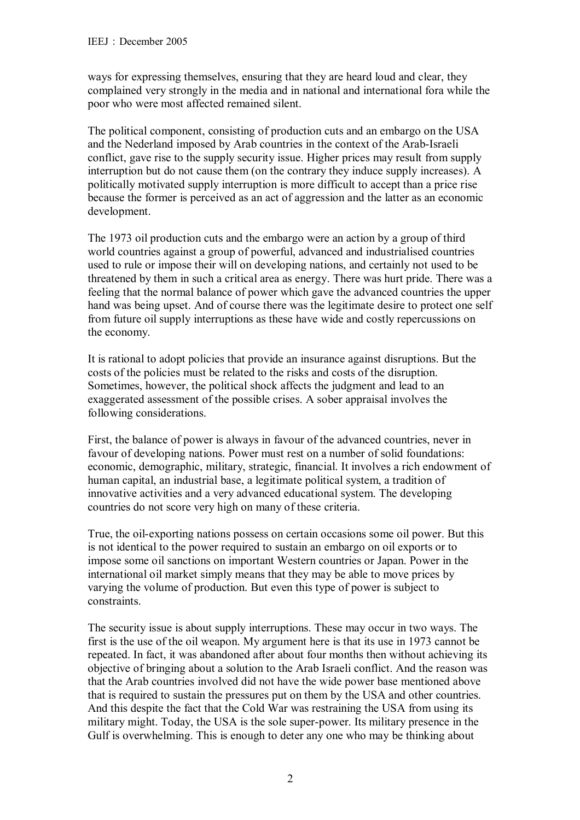ways for expressing themselves, ensuring that they are heard loud and clear, they complained very strongly in the media and in national and international fora while the poor who were most affected remained silent.

The political component, consisting of production cuts and an embargo on the USA and the Nederland imposed by Arab countries in the context of the Arab-Israeli conflict, gave rise to the supply security issue. Higher prices may result from supply interruption but do not cause them (on the contrary they induce supply increases). A politically motivated supply interruption is more difficult to accept than a price rise because the former is perceived as an act of aggression and the latter as an economic development.

The 1973 oil production cuts and the embargo were an action by a group of third world countries against a group of powerful, advanced and industrialised countries used to rule or impose their will on developing nations, and certainly not used to be threatened by them in such a critical area as energy. There was hurt pride. There was a feeling that the normal balance of power which gave the advanced countries the upper hand was being upset. And of course there was the legitimate desire to protect one self from future oil supply interruptions as these have wide and costly repercussions on the economy.

It is rational to adopt policies that provide an insurance against disruptions. But the costs of the policies must be related to the risks and costs of the disruption. Sometimes, however, the political shock affects the judgment and lead to an exaggerated assessment of the possible crises. A sober appraisal involves the following considerations.

First, the balance of power is always in favour of the advanced countries, never in favour of developing nations. Power must rest on a number of solid foundations: economic, demographic, military, strategic, financial. It involves a rich endowment of human capital, an industrial base, a legitimate political system, a tradition of innovative activities and a very advanced educational system. The developing countries do not score very high on many of these criteria.

True, the oil-exporting nations possess on certain occasions some oil power. But this is not identical to the power required to sustain an embargo on oil exports or to impose some oil sanctions on important Western countries or Japan. Power in the international oil market simply means that they may be able to move prices by varying the volume of production. But even this type of power is subject to constraints.

The security issue is about supply interruptions. These may occur in two ways. The first is the use of the oil weapon. My argument here is that its use in 1973 cannot be repeated. In fact, it was abandoned after about four months then without achieving its objective of bringing about a solution to the Arab Israeli conflict. And the reason was that the Arab countries involved did not have the wide power base mentioned above that is required to sustain the pressures put on them by the USA and other countries. And this despite the fact that the Cold War was restraining the USA from using its military might. Today, the USA is the sole super-power. Its military presence in the Gulf is overwhelming. This is enough to deter any one who may be thinking about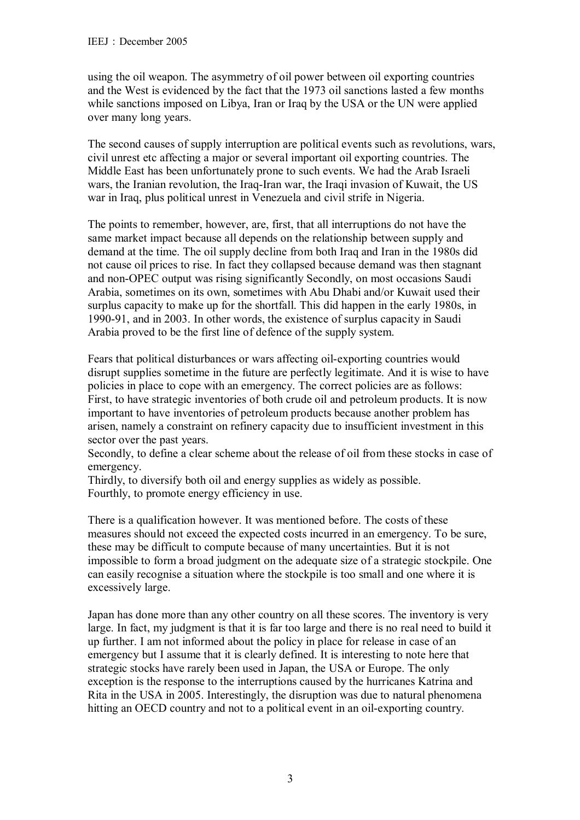using the oil weapon. The asymmetry of oil power between oil exporting countries and the West is evidenced by the fact that the 1973 oil sanctions lasted a few months while sanctions imposed on Libya, Iran or Iraq by the USA or the UN were applied over many long years.

The second causes of supply interruption are political events such as revolutions, wars, civil unrest etc affecting a major or several important oil exporting countries. The Middle East has been unfortunately prone to such events. We had the Arab Israeli wars, the Iranian revolution, the Iraq-Iran war, the Iraqi invasion of Kuwait, the US war in Iraq, plus political unrest in Venezuela and civil strife in Nigeria.

The points to remember, however, are, first, that all interruptions do not have the same market impact because all depends on the relationship between supply and demand at the time. The oil supply decline from both Iraq and Iran in the 1980s did not cause oil prices to rise. In fact they collapsed because demand was then stagnant and non-OPEC output was rising significantly Secondly, on most occasions Saudi Arabia, sometimes on its own, sometimes with Abu Dhabi and/or Kuwait used their surplus capacity to make up for the shortfall. This did happen in the early 1980s, in 1990-91, and in 2003. In other words, the existence of surplus capacity in Saudi Arabia proved to be the first line of defence of the supply system.

Fears that political disturbances or wars affecting oil-exporting countries would disrupt supplies sometime in the future are perfectly legitimate. And it is wise to have policies in place to cope with an emergency. The correct policies are as follows: First, to have strategic inventories of both crude oil and petroleum products. It is now important to have inventories of petroleum products because another problem has arisen, namely a constraint on refinery capacity due to insufficient investment in this sector over the past years.

Secondly, to define a clear scheme about the release of oil from these stocks in case of emergency.

Thirdly, to diversify both oil and energy supplies as widely as possible. Fourthly, to promote energy efficiency in use.

There is a qualification however. It was mentioned before. The costs of these measures should not exceed the expected costs incurred in an emergency. To be sure, these may be difficult to compute because of many uncertainties. But it is not impossible to form a broad judgment on the adequate size of a strategic stockpile. One can easily recognise a situation where the stockpile is too small and one where it is excessively large.

Japan has done more than any other country on all these scores. The inventory is very large. In fact, my judgment is that it is far too large and there is no real need to build it up further. I am not informed about the policy in place for release in case of an emergency but I assume that it is clearly defined. It is interesting to note here that strategic stocks have rarely been used in Japan, the USA or Europe. The only exception is the response to the interruptions caused by the hurricanes Katrina and Rita in the USA in 2005. Interestingly, the disruption was due to natural phenomena hitting an OECD country and not to a political event in an oil-exporting country.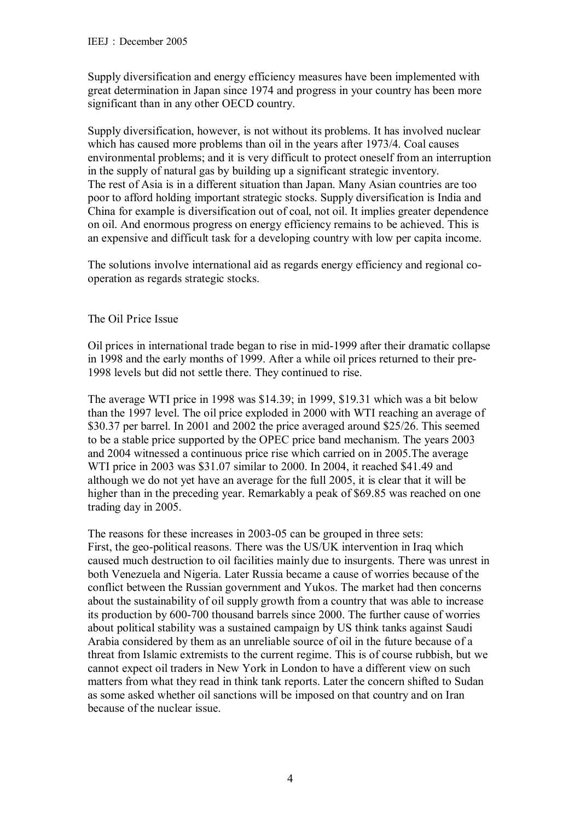Supply diversification and energy efficiency measures have been implemented with great determination in Japan since 1974 and progress in your country has been more significant than in any other OECD country.

Supply diversification, however, is not without its problems. It has involved nuclear which has caused more problems than oil in the years after 1973/4. Coal causes environmental problems; and it is very difficult to protect oneself from an interruption in the supply of natural gas by building up a significant strategic inventory. The rest of Asia is in a different situation than Japan. Many Asian countries are too poor to afford holding important strategic stocks. Supply diversification is India and China for example is diversification out of coal, not oil. It implies greater dependence on oil. And enormous progress on energy efficiency remains to be achieved. This is an expensive and difficult task for a developing country with low per capita income.

The solutions involve international aid as regards energy efficiency and regional cooperation as regards strategic stocks.

## The Oil Price Issue

Oil prices in international trade began to rise in mid-1999 after their dramatic collapse in 1998 and the early months of 1999. After a while oil prices returned to their pre-1998 levels but did not settle there. They continued to rise.

The average WTI price in 1998 was \$14.39; in 1999, \$19.31 which was a bit below than the 1997 level. The oil price exploded in 2000 with WTI reaching an average of \$30.37 per barrel. In 2001 and 2002 the price averaged around \$25/26. This seemed to be a stable price supported by the OPEC price band mechanism. The years 2003 and 2004 witnessed a continuous price rise which carried on in 2005.The average WTI price in 2003 was \$31.07 similar to 2000. In 2004, it reached \$41.49 and although we do not yet have an average for the full 2005, it is clear that it will be higher than in the preceding year. Remarkably a peak of \$69.85 was reached on one trading day in 2005.

The reasons for these increases in 2003-05 can be grouped in three sets: First, the geo-political reasons. There was the US/UK intervention in Iraq which caused much destruction to oil facilities mainly due to insurgents. There was unrest in both Venezuela and Nigeria. Later Russia became a cause of worries because of the conflict between the Russian government and Yukos. The market had then concerns about the sustainability of oil supply growth from a country that was able to increase its production by 600-700 thousand barrels since 2000. The further cause of worries about political stability was a sustained campaign by US think tanks against Saudi Arabia considered by them as an unreliable source of oil in the future because of a threat from Islamic extremists to the current regime. This is of course rubbish, but we cannot expect oil traders in New York in London to have a different view on such matters from what they read in think tank reports. Later the concern shifted to Sudan as some asked whether oil sanctions will be imposed on that country and on Iran because of the nuclear issue.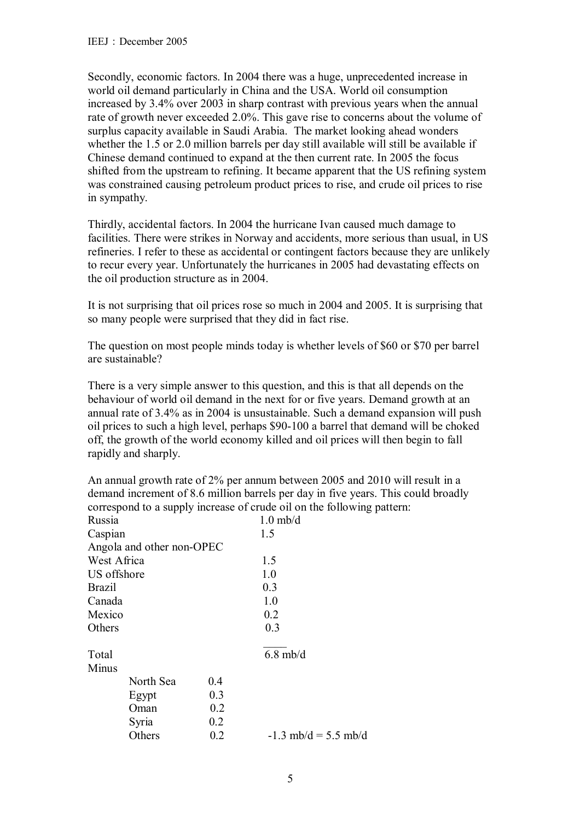Secondly, economic factors. In 2004 there was a huge, unprecedented increase in world oil demand particularly in China and the USA. World oil consumption increased by 3.4% over 2003 in sharp contrast with previous years when the annual rate of growth never exceeded 2.0%. This gave rise to concerns about the volume of surplus capacity available in Saudi Arabia. The market looking ahead wonders whether the 1.5 or 2.0 million barrels per day still available will still be available if Chinese demand continued to expand at the then current rate. In 2005 the focus shifted from the upstream to refining. It became apparent that the US refining system was constrained causing petroleum product prices to rise, and crude oil prices to rise in sympathy.

Thirdly, accidental factors. In 2004 the hurricane Ivan caused much damage to facilities. There were strikes in Norway and accidents, more serious than usual, in US refineries. I refer to these as accidental or contingent factors because they are unlikely to recur every year. Unfortunately the hurricanes in 2005 had devastating effects on the oil production structure as in 2004.

It is not surprising that oil prices rose so much in 2004 and 2005. It is surprising that so many people were surprised that they did in fact rise.

The question on most people minds today is whether levels of \$60 or \$70 per barrel are sustainable?

There is a very simple answer to this question, and this is that all depends on the behaviour of world oil demand in the next for or five years. Demand growth at an annual rate of 3.4% as in 2004 is unsustainable. Such a demand expansion will push oil prices to such a high level, perhaps \$90-100 a barrel that demand will be choked off, the growth of the world economy killed and oil prices will then begin to fall rapidly and sharply.

An annual growth rate of 2% per annum between 2005 and 2010 will result in a demand increment of 8.6 million barrels per day in five years. This could broadly correspond to a supply increase of crude oil on the following pattern:

| Russia        |                           |     | $1.0$ mb/d             |
|---------------|---------------------------|-----|------------------------|
| Caspian       |                           |     | 1.5                    |
|               | Angola and other non-OPEC |     |                        |
| West Africa   |                           |     | 1.5                    |
| US offshore   |                           |     | 1.0                    |
| <b>Brazil</b> |                           |     | 0.3                    |
| Canada        |                           |     | 1.0                    |
| Mexico        |                           |     | 0.2                    |
| Others        |                           |     | 0.3                    |
| Total         |                           |     | $6.8$ mb/d             |
| Minus         |                           |     |                        |
|               | North Sea                 | 0.4 |                        |
|               | Egypt                     | 0.3 |                        |
|               | Oman                      | 0.2 |                        |
|               | Syria                     | 0.2 |                        |
|               | Others                    | 0.2 | $-1.3$ mb/d = 5.5 mb/d |